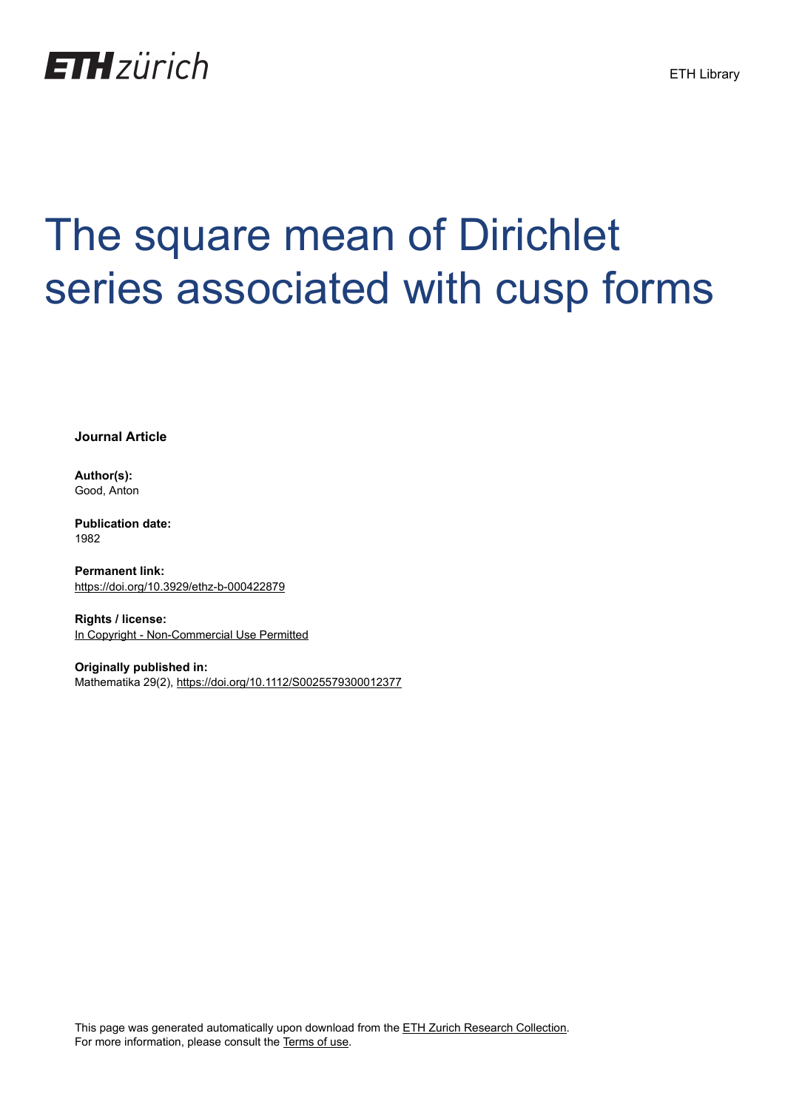

## The square mean of Dirichlet series associated with cusp forms

**Journal Article**

**Author(s):** Good, Anton

**Publication date:** 1982

**Permanent link:** <https://doi.org/10.3929/ethz-b-000422879>

**Rights / license:** [In Copyright - Non-Commercial Use Permitted](http://rightsstatements.org/page/InC-NC/1.0/)

**Originally published in:** Mathematika 29(2),<https://doi.org/10.1112/S0025579300012377>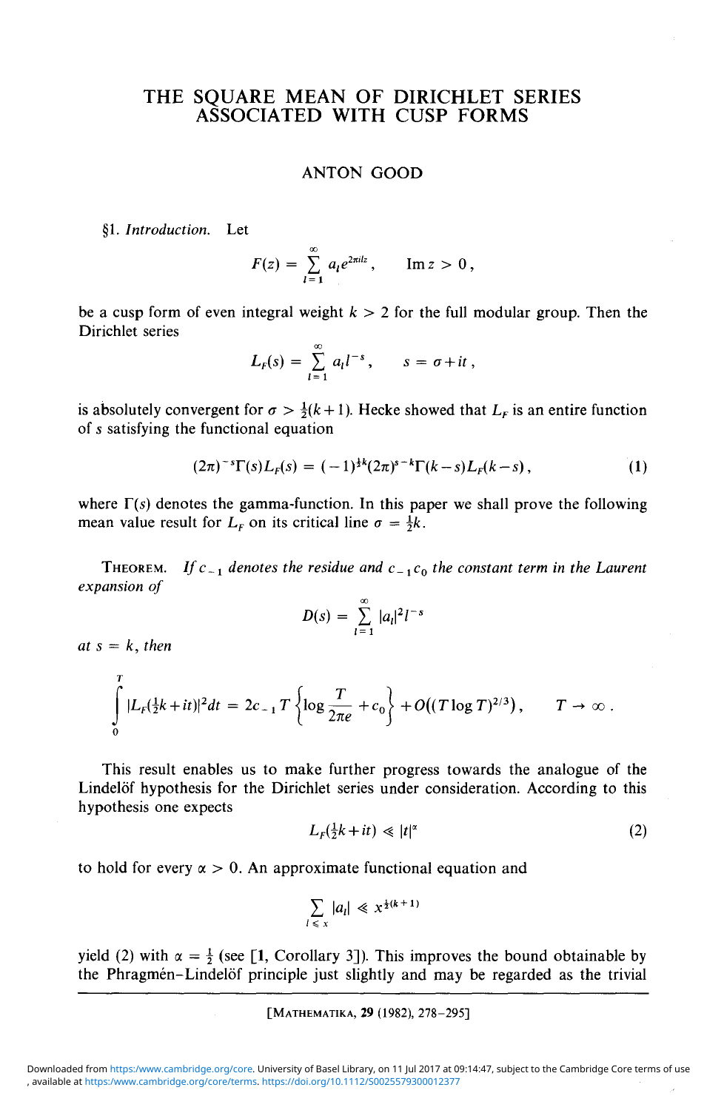## THE SQUARE MEAN OF DIRICHLET SERIES ASSOCIATED WITH CUSP FORMS

## ANTON GOOD

§1. *Introduction.* Let

$$
F(z) = \sum_{l=1}^{\infty} a_l e^{2\pi i l z}, \qquad \text{Im } z > 0,
$$

be a cusp form of even integral weight  $k > 2$  for the full modular group. Then the Dirichlet series

$$
L_F(s) = \sum_{l=1}^{\infty} a_l l^{-s}, \qquad s = \sigma + it,
$$

is absolutely convergent for  $\sigma > \frac{1}{2}(k + 1)$ . Hecke showed that  $L_F$  is an entire function of s satisfying the functional equation

$$
(2\pi)^{-s}\Gamma(s)L_{F}(s)=(-1)^{\frac{1}{2}k}(2\pi)^{s-k}\Gamma(k-s)L_{F}(k-s), \qquad (1)
$$

where  $\Gamma(s)$  denotes the gamma-function. In this paper we shall prove the following mean value result for  $L_F$  on its critical line  $\sigma = \frac{1}{2}k$ .

THEOREM. If  $c_{-1}$  denotes the residue and  $c_{-1}c_0$  the constant term in the Laurent *expansion of*

$$
D(s) = \sum_{l=1}^{\infty} |a_l|^2 l^{-s}
$$

 $at s = k$ , then

$$
\int_{0}^{1} |L_{F}(\frac{1}{2}k+it)|^{2} dt = 2c_{-1} T \left\{ \log \frac{T}{2\pi e} + c_{0} \right\} + O((T \log T)^{2/3}), \qquad T \to \infty.
$$

This result enables us to make further progress towards the analogue of the Lindelöf hypothesis for the Dirichlet series under consideration. According to this hypothesis one expects

$$
L_F(\frac{1}{2}k+it) \ll |t|^{\alpha} \tag{2}
$$

to hold for every  $\alpha > 0$ . An approximate functional equation and

$$
\sum_{l \leq x} |a_l| \leq x^{\frac{1}{2}(k+1)}
$$

yield (2) with  $\alpha = \frac{1}{2}$  (see [1, Corollary 3]). This improves the bound obtainable by the Phragmén-Lindelöf principle just slightly and may be regarded as the trivial

[MATHEMATIKA, 29 (1982), 278-295]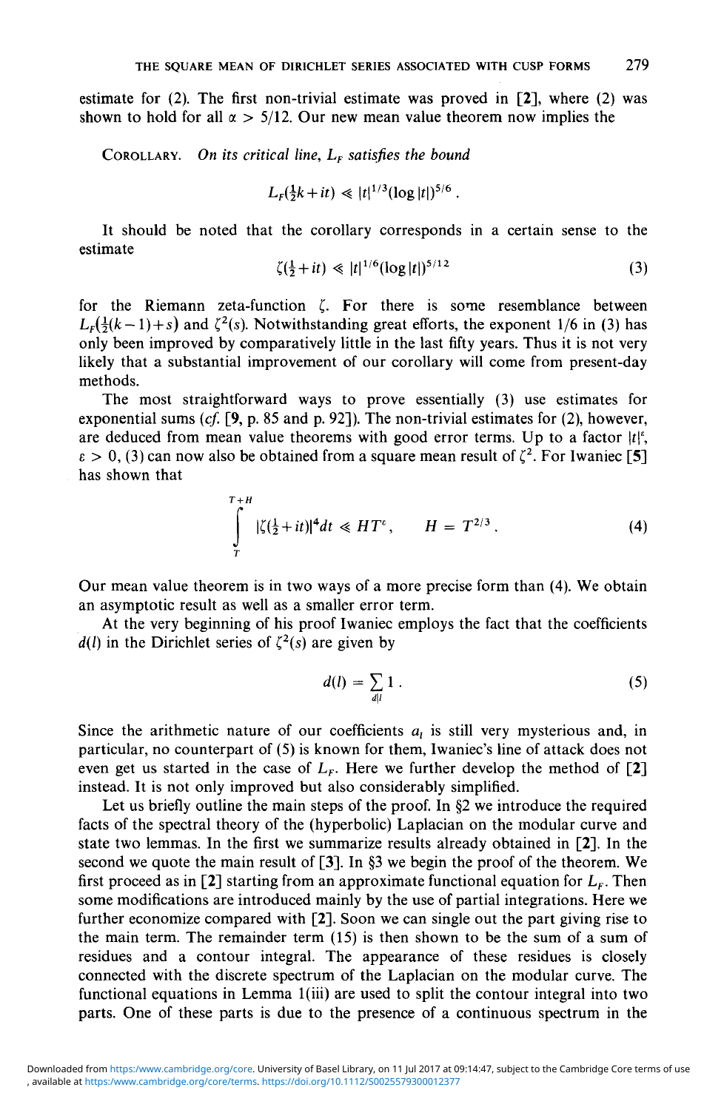estimate for  $(2)$ . The first non-trivial estimate was proved in  $[2]$ , where  $(2)$  was shown to hold for all  $\alpha > 5/12$ . Our new mean value theorem now implies the

COROLLARY. On its critical line,  $L_F$  satisfies the bound

$$
L_F(\frac{1}{2}k+it) \ll |t|^{1/3} (\log|t|)^{5/6}.
$$

It should be noted that the corollary corresponds in a certain sense to the estimate

$$
\zeta(\frac{1}{2} + it) \ll |t|^{1/6} (\log|t|)^{5/12} \tag{3}
$$

for the Riemann zeta-function  $\zeta$ . For there is some resemblance between  $L_F(\frac{1}{2}(k-1) + s)$  and  $\zeta^2(s)$ . Notwithstanding great efforts, the exponent 1/6 in (3) has only been improved by comparatively little in the last fifty years. Thus it is not very likely that a substantial improvement of our corollary will come from present-day methods.

The most straightforward ways to prove essentially (3) use estimates for exponential sums *(cf.* [9, p. 85 and p. 92]). The non-trivial estimates for (2), however, are deduced from mean value theorems with good error terms. Up to a factor  $|t|^{\varepsilon}$ ,  $\epsilon > 0$ , (3) can now also be obtained from a square mean result of  $\zeta^2$ . For Iwaniec [5] has shown that

$$
\int_{T}^{T+H} |\zeta(\frac{1}{2}+it)|^4 dt \ll HT^{\varepsilon}, \qquad H = T^{2/3}.
$$
 (4)

Our mean value theorem is in two ways of a more precise form than (4). We obtain an asymptotic result as well as a smaller error term.

At the very beginning of his proof Iwaniec employs the fact that the coefficients  $d(l)$  in the Dirichlet series of  $\zeta^2(s)$  are given by

$$
d(l) = \sum_{d|l} 1 \tag{5}
$$

Since the arithmetic nature of our coefficients  $a_i$  is still very mysterious and, in particular, no counterpart of (5) is known for them, Iwaniec's line of attack does not even get us started in the case of  $L_F$ . Here we further develop the method of [2] instead. It is not only improved but also considerably simplified.

Let us briefly outline the main steps of the proof. In §2 we introduce the required facts of the spectral theory of the (hyperbolic) Laplacian on the modular curve and state two lemmas. In the first we summarize results already obtained in [2], In the second we quote the main result of [3]. In §3 we begin the proof of the theorem. We first proceed as in [2] starting from an approximate functional equation for  $L<sub>F</sub>$ . Then some modifications are introduced mainly by the use of partial integrations. Here we further economize compared with [2]. Soon we can single out the part giving rise to the main term. The remainder term (15) is then shown to be the sum of a sum of residues and a contour integral. The appearance of these residues is closely connected with the discrete spectrum of the Laplacian on the modular curve. The functional equations in Lemma l(iii) are used to split the contour integral into two parts. One of these parts is due to the presence of a continuous spectrum in the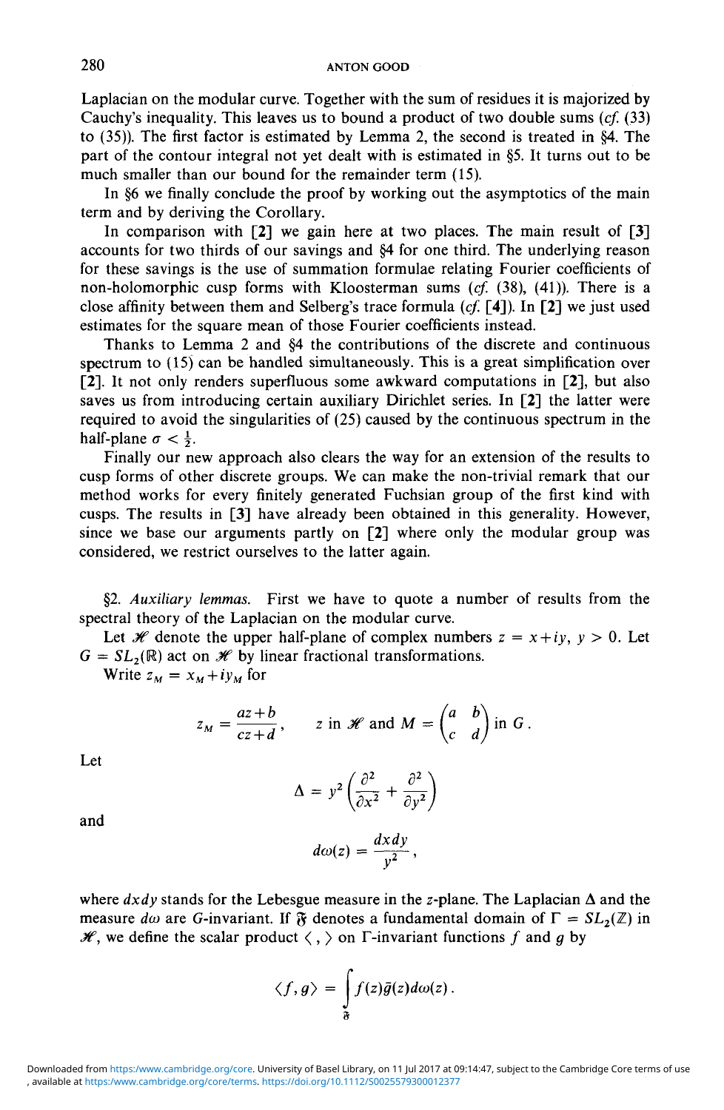Laplacian on the modular curve. Together with the sum of residues it is majorized by Cauchy's inequality. This leaves us to bound a product of two double sums *(cf.* (33) to (35)). The first factor is estimated by Lemma 2, the second is treated in §4. The part of the contour integral not yet dealt with is estimated in §5. It turns out to be much smaller than our bound for the remainder term (15).

In §6 we finally conclude the proof by working out the asymptotics of the main term and by deriving the Corollary.

In comparison with [2] we gain here at two places. The main result of [3] accounts for two thirds of our savings and §4 for one third. The underlying reason for these savings is the use of summation formulae relating Fourier coefficients of non-holomorphic cusp forms with Kloosterman sums *(cf.* (38), (41)). There is a close affinity between them and Selberg's trace formula *(cf.* [4]). In [2] we just used estimates for the square mean of those Fourier coefficients instead.

Thanks to Lemma 2 and §4 the contributions of the discrete and continuous spectrum to (15) can be handled simultaneously. This is a great simplification over [2]. It not only renders superfluous some awkward computations in [2], but also saves us from introducing certain auxiliary Dirichlet series. In [2] the latter were required to avoid the singularities of (25) caused by the continuous spectrum in the half-plane  $\sigma < \frac{1}{2}$ .

Finally our new approach also clears the way for an extension of the results to cusp forms of other discrete groups. We can make the non-trivial remark that our method works for every finitely generated Fuchsian group of the first kind with cusps. The results in [3] have already been obtained in this generality. However, since we base our arguments partly on [2] where only the modular group was considered, we restrict ourselves to the latter again.

§2. *Auxiliary lemmas.* First we have to quote a number of results from the spectral theory of the Laplacian on the modular curve.

Let  $\mathcal{H}$  denote the upper half-plane of complex numbers  $z = x + iy$ ,  $y > 0$ . Let  $G = SL_2(\mathbb{R})$  act on  $\mathcal{H}$  by linear fractional transformations.

Write  $z_M = x_M + iy_M$  for

$$
z_M = \frac{az+b}{cz+d}
$$
,  $z$  in  $\mathscr{H}$  and  $M = \begin{pmatrix} a & b \\ c & d \end{pmatrix}$  in  $G$ .

Let

$$
\Delta = y^2 \left( \frac{\partial^2}{\partial x^2} + \frac{\partial^2}{\partial y^2} \right)
$$

and

$$
d\omega(z) = \frac{dx dy}{y^2},
$$

where  $dxdy$  stands for the Lebesgue measure in the z-plane. The Laplacian  $\Delta$  and the measure *d* $\omega$  are *G*-invariant. If  $\mathfrak F$  denotes a fundamental domain of  $\Gamma = SL_2(\mathbb Z)$  in  $\mathcal{H}$ , we define the scalar product  $\langle , \rangle$  on  $\Gamma$ -invariant functions f and g by

$$
\langle f,g\rangle=\int\limits_{\mathfrak{F}}f(z)\bar{g}(z)d\omega(z).
$$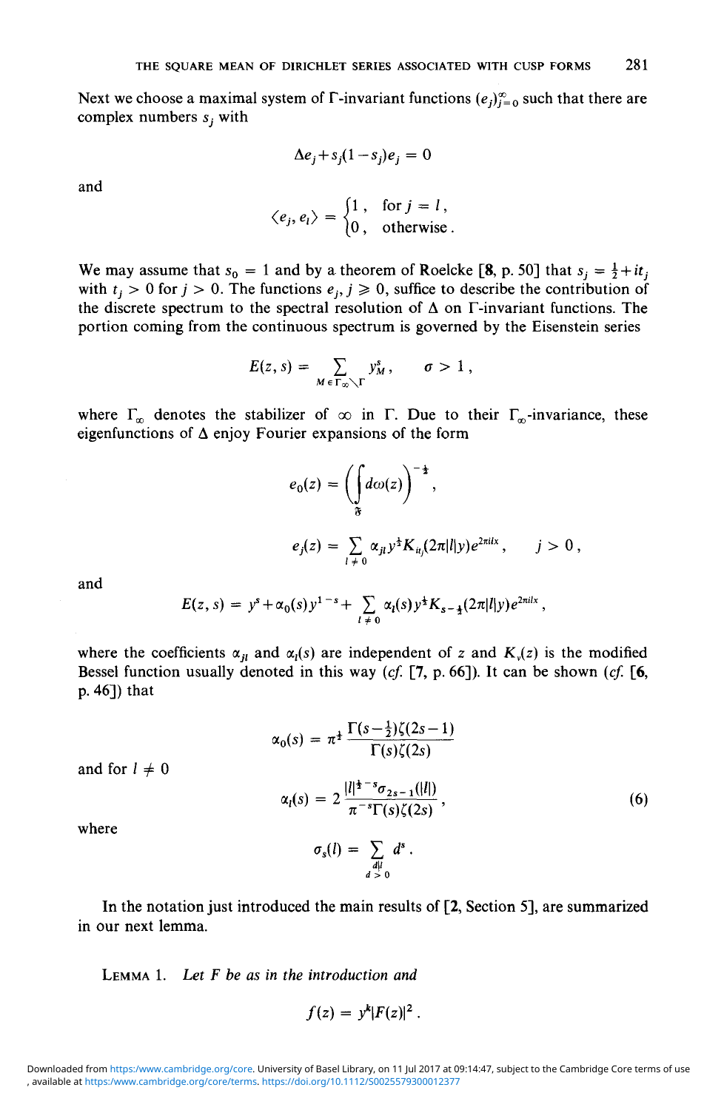Next we choose a maximal system of  $\Gamma$ -invariant functions  $(e_i)_{i=0}^{\infty}$  such that there are complex numbers *Sj* with

$$
\Delta e_j + s_j (1 - s_j) e_j = 0
$$

and

$$
\langle e_j, e_l \rangle = \begin{cases} 1, & \text{for } j = l, \\ 0, & \text{otherwise.} \end{cases}
$$

We may assume that  $s_0 = 1$  and by a theorem of Roelcke [8, p. 50] that  $s_j = \frac{1}{2} + it_j$ with  $t_j > 0$  for  $j > 0$ . The functions  $e_j$ ,  $j \ge 0$ , suffice to describe the contribution of the discrete spectrum to the spectral resolution of  $\Delta$  on  $\Gamma$ -invariant functions. The portion coming from the continuous spectrum is governed by the Eisenstein series

$$
E(z, s) = \sum_{M \in \Gamma_{\infty} \setminus \Gamma} y_M^s, \quad \sigma > 1,
$$

where  $\Gamma_{\infty}$  denotes the stabilizer of  $\infty$  in  $\Gamma$ . Due to their  $\Gamma_{\infty}$ -invariance, these eigenfunctions of  $\Delta$  enjoy Fourier expansions of the form

$$
e_0(z) = \left(\int_{\mathfrak{F}} d\omega(z)\right)^{-\frac{1}{2}},
$$
  

$$
e_j(z) = \sum_{l \neq 0} \alpha_{jl} y^{\frac{1}{2}} K_{ij}(2\pi |l|y) e^{2\pi i ix}, \quad j > 0,
$$

and

$$
E(z, s) = y^{s} + \alpha_0(s) y^{1-s} + \sum_{l \neq 0} \alpha_l(s) y^{\frac{1}{2}} K_{s-\frac{1}{2}}(2\pi |l|y) e^{2\pi i l x},
$$

where the coefficients  $\alpha_{jl}$  and  $\alpha_l(s)$  are independent of *z* and  $K_v(z)$  is the modified Bessel function usually denoted in this way *(cf.* [7, p. 66]). It can be shown *(cf.* [6, p. 46]) that

$$
\alpha_0(s) = \pi^{\frac{1}{2}} \frac{\Gamma(s - \frac{1}{2})\zeta(2s - 1)}{\Gamma(s)\zeta(2s)}
$$

$$
\alpha_l(s) = 2 \frac{|l|^{\frac{1}{2} - s} \sigma_{2s - 1}(|l|)}{\pi^{-s} \Gamma(s)\zeta(2s)},
$$
(6)

where

and for  $l \neq 0$ 

$$
\sigma_s(l) = \sum_{\substack{d \mid l \\ d > 0}} d^s
$$

In the notation just introduced the main results of [2, Section 5], are summarized in our next lemma.

LEMMA 1. *Let F be as in the introduction and*

$$
f(z) = y^k |F(z)|^2.
$$

<sup>,</sup> available at <https:/www.cambridge.org/core/terms>.<https://doi.org/10.1112/S0025579300012377> Downloaded from <https:/www.cambridge.org/core>. University of Basel Library, on 11 Jul 2017 at 09:14:47, subject to the Cambridge Core terms of use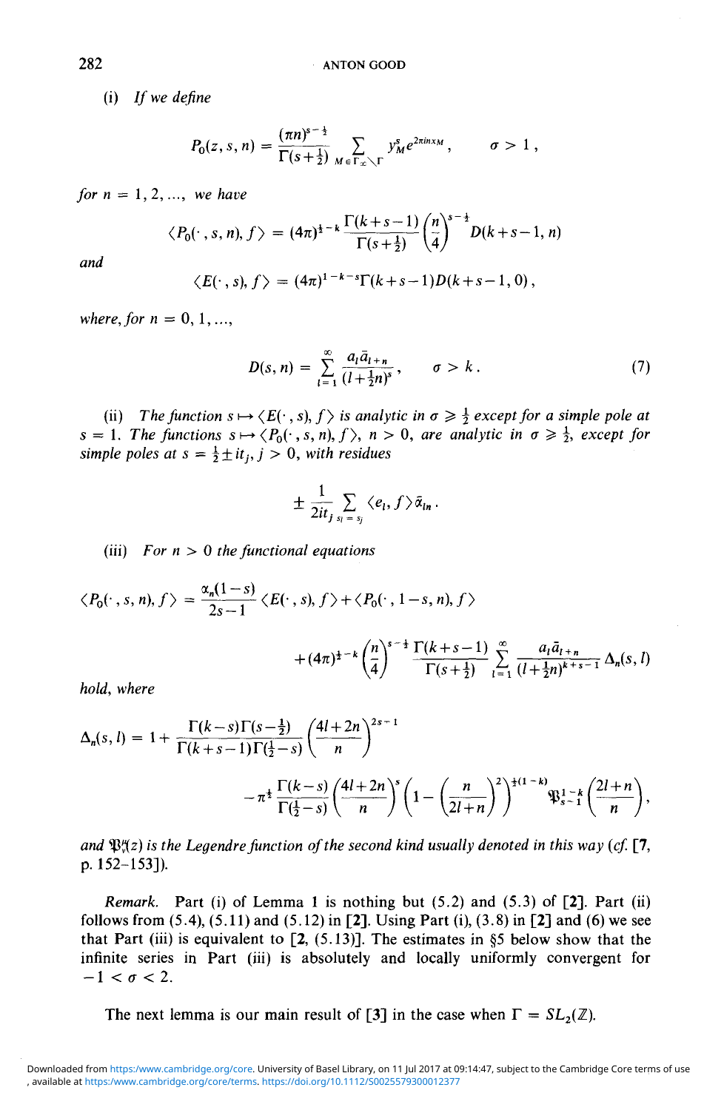(i) *If we define*

$$
P_0(z,s,n)=\frac{(\pi n)^{s-\frac{1}{2}}}{\Gamma(s+\frac{1}{2})}\sum_{M\in\Gamma_x\setminus\Gamma}y_M^se^{2\pi inx_M},\qquad\sigma>1,
$$

*for*  $n = 1, 2, ...,$ *we have* 

$$
\langle P_0(\cdot, s, n), f \rangle = (4\pi)^{\frac{1}{2}-k} \frac{\Gamma(k+s-1)}{\Gamma(s+\frac{1}{2})} {n \choose 4}^{s-\frac{1}{2}} D(k+s-1, n)
$$

*and*

$$
\langle E(\cdot, s), f \rangle = (4\pi)^{1-k-s} \Gamma(k+s-1) D(k+s-1, 0),
$$

*where, for*  $n = 0, 1, ...$ 

$$
D(s, n) = \sum_{l=1}^{\infty} \frac{a_l \bar{a}_{l+n}}{(l + \frac{1}{2}n)^s}, \qquad \sigma > k.
$$
 (7)

(ii) The function  $s \mapsto \langle E(\cdot, s), f \rangle$  is analytic in  $\sigma \geq \frac{1}{2}$  except for a simple pole at  $s = 1$ . The functions  $s \mapsto \langle P_0(\cdot, s, n), f \rangle$ ,  $n > 0$ , are analytic in  $\sigma \geq \frac{1}{2}$ , except for *simple poles at s* =  $\frac{1}{2}$  $\pm$ *it<sub>i</sub>, j >* 0, with *residues* 

$$
\pm\,\frac{1}{2it_j}\sum_{s_l\,=\,s_j}\langle e_l,f\rangle\,\bar{\alpha}_{ln}\,.
$$

(iii) For n > 0 *the functional equations*

$$
\langle P_0(\cdot\,,s,n),f\rangle=\frac{\alpha_n(1-s)}{2s-1}\langle E(\cdot\,,s),f\rangle+\langle P_0(\cdot\,,1-s,n),f\rangle
$$

$$
+(4\pi)^{\frac{1}{2}-k}\left(\frac{n}{4}\right)^{s-\frac{1}{2}}\frac{\Gamma(k+s-1)}{\Gamma(s+\frac{1}{2})}\sum_{l=1}^{\infty}\frac{a_l\bar{a}_{l+n}}{(l+\frac{1}{2}n)^{k+s-1}}\Delta_n(s,l)
$$

, *where*

$$
\Delta_n(s, l) = 1 + \frac{\Gamma(k-s)\Gamma(s-\frac{1}{2})}{\Gamma(k+s-1)\Gamma(\frac{1}{2}-s)} \left(\frac{4l+2n}{n}\right)^{2s-1} - \pi^{\frac{1}{2}} \frac{\Gamma(k-s)}{\Gamma(\frac{1}{2}-s)} \left(\frac{4l+2n}{n}\right)^s \left(1 - \left(\frac{n}{2l+n}\right)^2\right)^{\frac{1}{2}(1-k)} \mathfrak{P}_{s-1}^{1-\frac{1}{2}} \left(\frac{2l+n}{n}\right),
$$

and  $\mathfrak{P}^{\mu}_{\nu}(z)$  is the Legendre function of the second kind usually denoted in this way (cf. [7, p. 152-153]).

*Remark.* Part (i) of Lemma 1 is nothing but (5.2) and (5.3) of [2]. Part (ii) follows from  $(5.4)$ ,  $(5.11)$  and  $(5.12)$  in [2]. Using Part (i),  $(3.8)$  in [2] and (6) we see that Part (iii) is equivalent to  $[2, (5.13)]$ . The estimates in §5 below show that the infinite series in Part (iii) is absolutely and locally uniformly convergent for  $-1 < \sigma < 2$ .

The next lemma is our main result of [3] in the case when  $\Gamma = SL_2(\mathbb{Z})$ .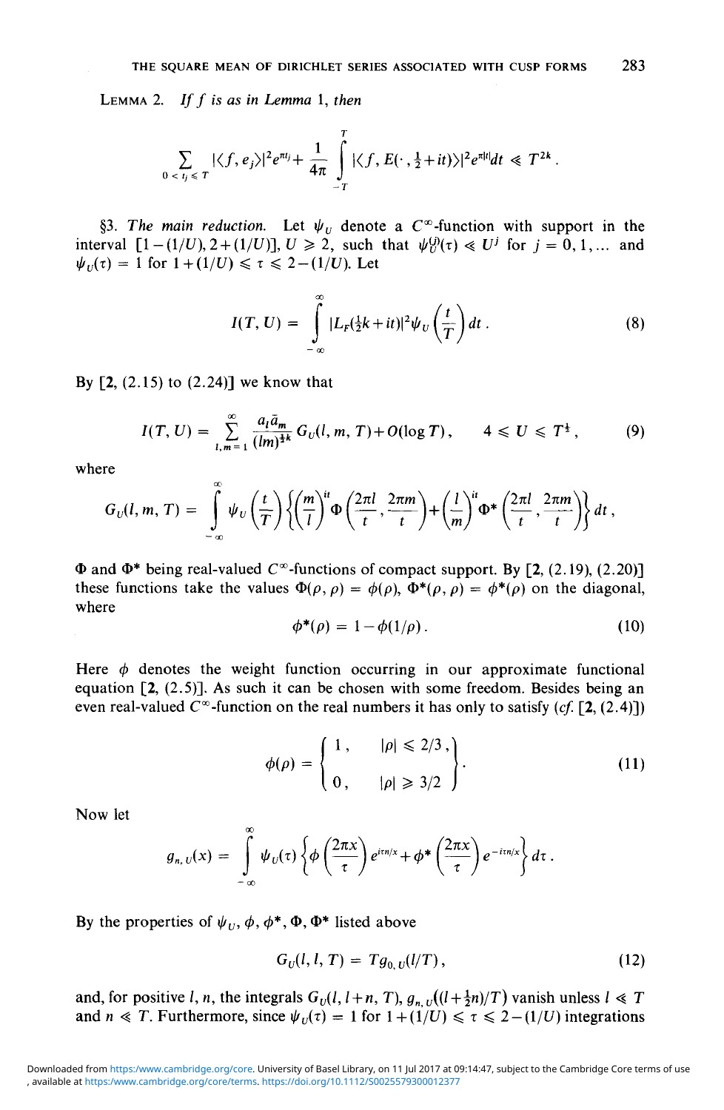LEMMA 2. If f is as in Lemma 1, then

$$
\sum_{0 \leq t_j \leq T} |\langle f, e_j \rangle|^2 e^{\pi t_j} + \frac{1}{4\pi} \int_{-T}^{T} |\langle f, E(\cdot, \frac{1}{2} + it) \rangle|^2 e^{\pi |t|} dt \ll T^{2k}.
$$

§3. The main reduction. Let  $\psi_U$  denote a  $C^{\infty}$ -function with support in the interval  $[1-(1/U), 2+(1/U)]$ ,  $U \ge 2$ , such that  $\psi_U^{(j)}(\tau) \ll U^j$  for  $j = 0, 1, ...$  and  $\psi_U(\tau) = 1$  for  $1 + (1/U) \le \tau \le 2 - (1/U)$ . Let

$$
I(T, U) = \int_{-\infty}^{\infty} |L_r(\frac{1}{2}k + it)|^2 \psi_U\left(\frac{t}{T}\right) dt.
$$
 (8)

By  $[2, (2.15)$  to  $(2.24)$ ] we know that

$$
I(T, U) = \sum_{l,m=1}^{\infty} \frac{a_l \bar{a}_m}{(lm)^{\frac{1}{2}k}} G_U(l, m, T) + O(\log T), \qquad 4 \leq U \leq T^{\frac{1}{2}}, \tag{9}
$$

where

$$
G_U(l,m,T) = \int_{-\infty}^{\infty} \psi_U\left(\frac{t}{T}\right) \left\{ \left(\frac{m}{l}\right)^{it} \Phi\left(\frac{2\pi l}{t},\frac{2\pi m}{t}\right) + \left(\frac{l}{m}\right)^{it} \Phi^*\left(\frac{2\pi l}{t},\frac{2\pi m}{t}\right) \right\} dt,
$$

 $\Phi$  and  $\Phi^*$  being real-valued  $C^{\infty}$ -functions of compact support. By [2, (2.19), (2.20)] these functions take the values  $\Phi(\rho, \rho) = \phi(\rho)$ ,  $\Phi^*(\rho, \rho) = \phi^*(\rho)$  on the diagonal, where

$$
\phi^*(\rho) = 1 - \phi(1/\rho). \tag{10}
$$

Here  $\phi$  denotes the weight function occurring in our approximate functional equation [2, (2.5)]. As such it can be chosen with some freedom. Besides being an even real-valued *C°°*-function on the real numbers it has only to satisfy *(cf.* [2, (2.4)])

$$
\phi(\rho) = \begin{cases} 1, & |\rho| \leq 2/3, \\ 0, & |\rho| \geq 3/2 \end{cases}.
$$
\n(11)

Now let

$$
g_{n,\,U}(x) = \int\limits_{-\infty}^{\infty} \psi_U(\tau) \left\{ \phi\left(\frac{2\pi x}{\tau}\right) e^{i\tau n/x} + \phi^* \left(\frac{2\pi x}{\tau}\right) e^{-i\tau n/x} \right\} d\tau \,.
$$

By the properties of  $\psi_U$ ,  $\phi$ ,  $\phi^*$ ,  $\Phi$ ,  $\Phi^*$  listed above

$$
G_U(l, l, T) = Tg_{0,U}(l/T), \qquad (12)
$$

and, for positive *l*, *n*, the integrals  $G_U(l, l+n, T)$ ,  $g_{n,U}(l+\frac{1}{2}n)/T$ ) vanish unless  $l \ll T$ and  $n \ll T$ . Furthermore, since  $\psi_U(\tau) = 1$  for  $1 + (1/U) \le \tau \le 2 - (1/U)$  integrations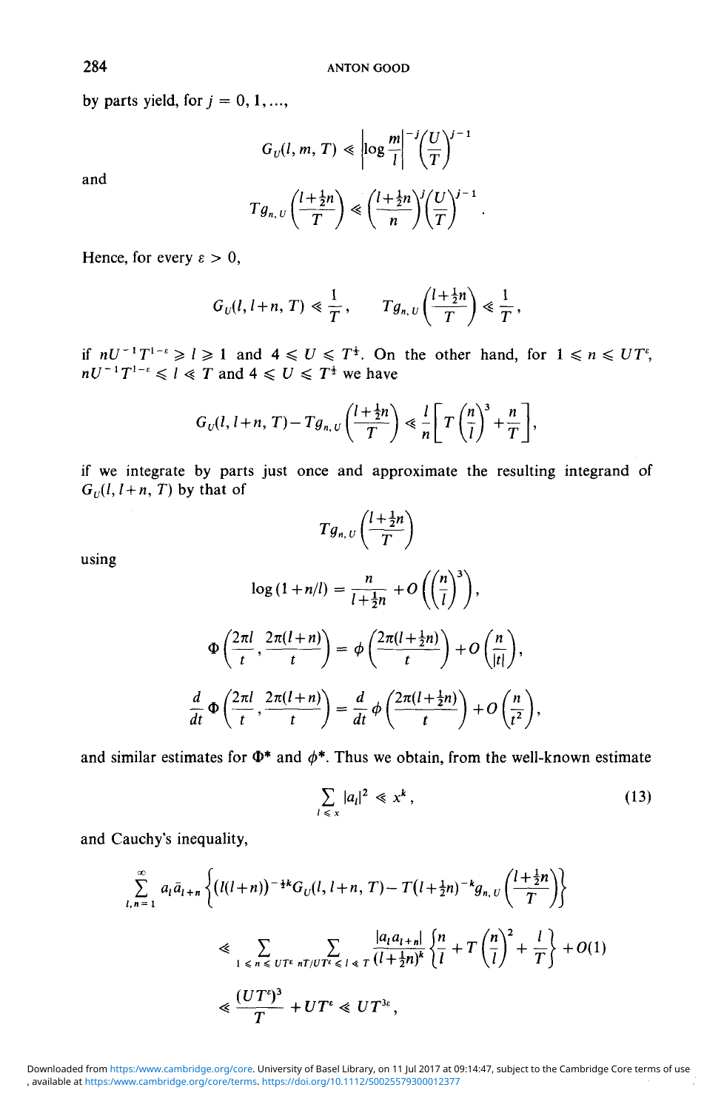by parts yield, for  $j = 0, 1, \ldots$ ,

and

$$
G_U(l, m, T) \ll \left| \log \frac{m}{l} \right|^{-j} \left(\frac{U}{T}\right)^{j-1}
$$

$$
Tg_{n,U}\left(\frac{l+\frac{1}{2}n}{T}\right) \ll \left(\frac{l+\frac{1}{2}n}{n}\right)^j \left(\frac{U}{T}\right)^{j-1}
$$

Hence, for every  $\varepsilon > 0$ ,

$$
G_U(l, l+n, T) \ll \frac{1}{T}, \qquad Tg_{n,U}\left(\frac{l+\frac{1}{2}n}{T}\right) \ll \frac{1}{T},
$$

if  $nU^{-1}T^{1-\epsilon} \ge l \ge 1$  and  $4 \le U \le T^{\frac{1}{2}}$ . On the other hand, for  $1 \le n$ T and  $4 \le U \le T^{\frac{1}{2}}$  we have

$$
G_U(l, l+n, T) - Tg_{n,U}\left(\frac{l+\frac{1}{2}n}{T}\right) \ll \frac{l}{n}\left[T\left(\frac{n}{l}\right)^3 + \frac{n}{T}\right],
$$

if we integrate by parts just once and approximate the resulting integrand of  $G_{U}(l, l+n, T)$  by that of

$$
Tg_{n,U}\left(\frac{l+\frac{1}{2}n}{T}\right)
$$

using

$$
\log\left(1+n/l\right) = \frac{n}{l+\frac{1}{2}n} + O\left(\left(\frac{n}{l}\right)^3\right),\,
$$

$$
\Phi\left(\frac{2\pi l}{t}, \frac{2\pi(l+n)}{t}\right) = \phi\left(\frac{2\pi(l+\frac{1}{2}n)}{t}\right) + O\left(\frac{n}{|t|}\right),\,
$$

$$
\frac{d}{dt}\Phi\left(\frac{2\pi l}{t}, \frac{2\pi(l+n)}{t}\right) = \frac{d}{dt}\phi\left(\frac{2\pi(l+\frac{1}{2}n)}{t}\right) + O\left(\frac{n}{t^2}\right),
$$

and similar estimates for  $\Phi^*$  and  $\phi^*$ . Thus we obtain, from the well-known estimate

$$
\sum_{l \leq x} |a_l|^2 \leq x^k, \tag{13}
$$

and Cauchy's inequality,

$$
\sum_{l,n=1}^{\infty} a_l \bar{a}_{l+n} \left\{ (l(l+n))^{-\frac{1}{2}k} G_U(l, l+n, T) - T(l+\frac{1}{2}n)^{-k} g_{n,U} \left( \frac{l+\frac{1}{2}n}{T} \right) \right\}
$$
  
\$\leqslant \sum\_{1 \leqslant n \leqslant UT^c} \sum\_{nT/UT^c \leqslant l \leqslant T} \frac{|a\_l a\_{l+n}|}{(l+\frac{1}{2}n)^k} \left\{ \frac{n}{l} + T\left( \frac{n}{l} \right)^2 + \frac{l}{T} \right\} + O(1)\$  
\$\leqslant \frac{(UT^c)^3}{T} + UT^c \leqslant UT^{3c},\$

, available at <https:/www.cambridge.org/core/terms>.<https://doi.org/10.1112/S0025579300012377> Downloaded from <https:/www.cambridge.org/core>. University of Basel Library, on 11 Jul 2017 at 09:14:47, subject to the Cambridge Core terms of use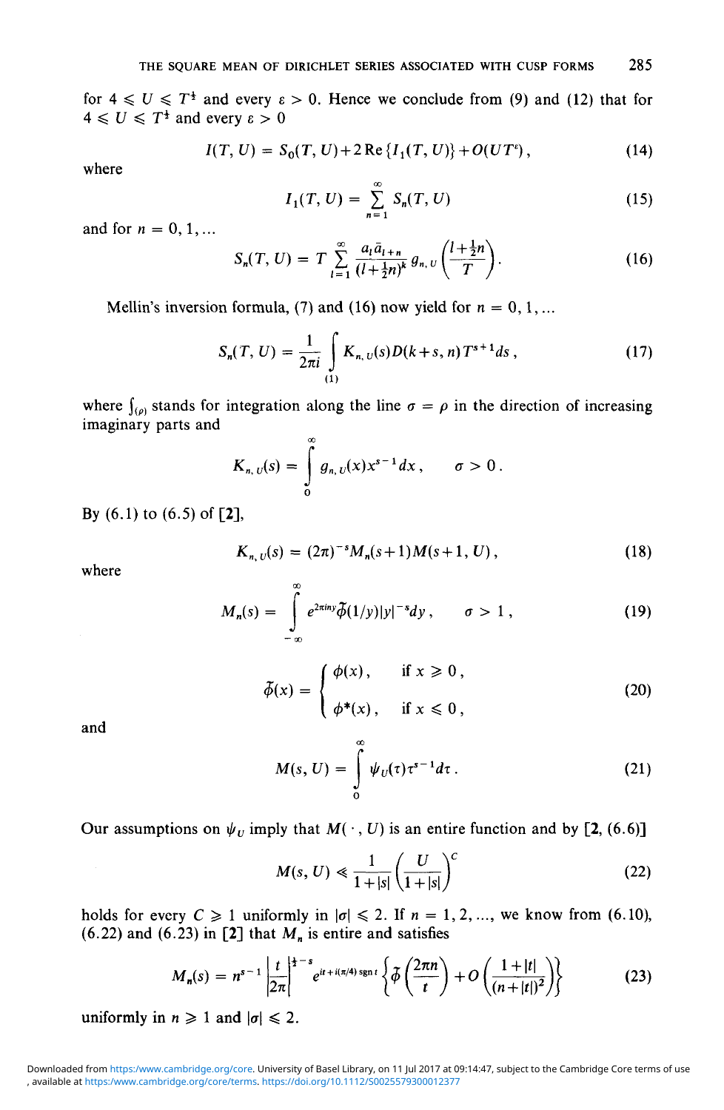for  $4 \le U \le T^{\frac{1}{2}}$  and every  $\varepsilon > 0$ . Hence we conclude from (9) and (12) that for  $4 \leq U \leq T^{\frac{1}{2}}$  and every  $\varepsilon > 0$ 

$$
I(T, U) = S_0(T, U) + 2 \operatorname{Re} \{ I_1(T, U) \} + O(UT^e), \qquad (14)
$$

where

$$
I_1(T, U) = \sum_{n=1}^{\infty} S_n(T, U) \tag{15}
$$

and for  $n = 0, 1, ...$ 

$$
S_n(T, U) = T \sum_{l=1}^{\infty} \frac{a_l \bar{a}_{l+n}}{(l+\frac{1}{2}n)^k} g_{n, U}\left(\frac{l+\frac{1}{2}n}{T}\right).
$$
 (16)

Mellin's inversion formula, (7) and (16) now yield for  $n = 0, 1, \ldots$ 

$$
S_n(T, U) = \frac{1}{2\pi i} \int_{(1)} K_{n, U}(s) D(k+s, n) T^{s+1} ds,
$$
 (17)

where  $\int_{(\rho)}$  stands for integration along the line  $\sigma = \rho$  in the direction of increasing imaginary parts and

$$
K_{n,\,U}(s)=\int\limits_{0}^{\infty}g_{n,\,U}(x)x^{s-1}dx\,,\qquad \sigma>0\,.
$$

By (6.1) to (6.5) of [2],

$$
K_{n,\,U}(s)=(2\pi)^{-s}M_n(s+1)M(s+1,\,U)\,,\tag{18}
$$

where

$$
M_n(s) = \int_{-\infty}^{\infty} e^{2\pi i n y} \tilde{\phi}(1/y)|y|^{-s} dy, \qquad \sigma > 1,
$$
 (19)

$$
\tilde{\phi}(x) = \begin{cases}\n\phi(x), & \text{if } x \ge 0, \\
\phi^*(x), & \text{if } x \le 0,\n\end{cases}
$$
\n(20)

and

$$
M(s, U) = \int_{0}^{\infty} \psi_U(\tau) \tau^{s-1} d\tau.
$$
 (21)

Our assumptions on  $\psi_U$  imply that  $M(\cdot, U)$  is an entire function and by [2, (6.6)]

$$
M(s, U) \ll \frac{1}{1+|s|} \left(\frac{U}{1+|s|}\right)^c \tag{22}
$$

holds for every  $C \ge 1$  uniformly in  $|\sigma| \le 2$ . If  $n = 1, 2, \ldots$ , we know from (6.10), (6.22) and (6.23) in [2] that  $M_n$  is entire and satisfies

$$
M_n(s) = n^{s-1} \left| \frac{t}{2\pi} \right|^{1-s} e^{it + i(\pi/4) \operatorname{sgn} t} \left\{ \tilde{\phi} \left( \frac{2\pi n}{t} \right) + O \left( \frac{1 + |t|}{(n + |t|)^2} \right) \right\} \tag{23}
$$

uniformly in  $n \geq 1$  and  $|\sigma| \leq 2$ .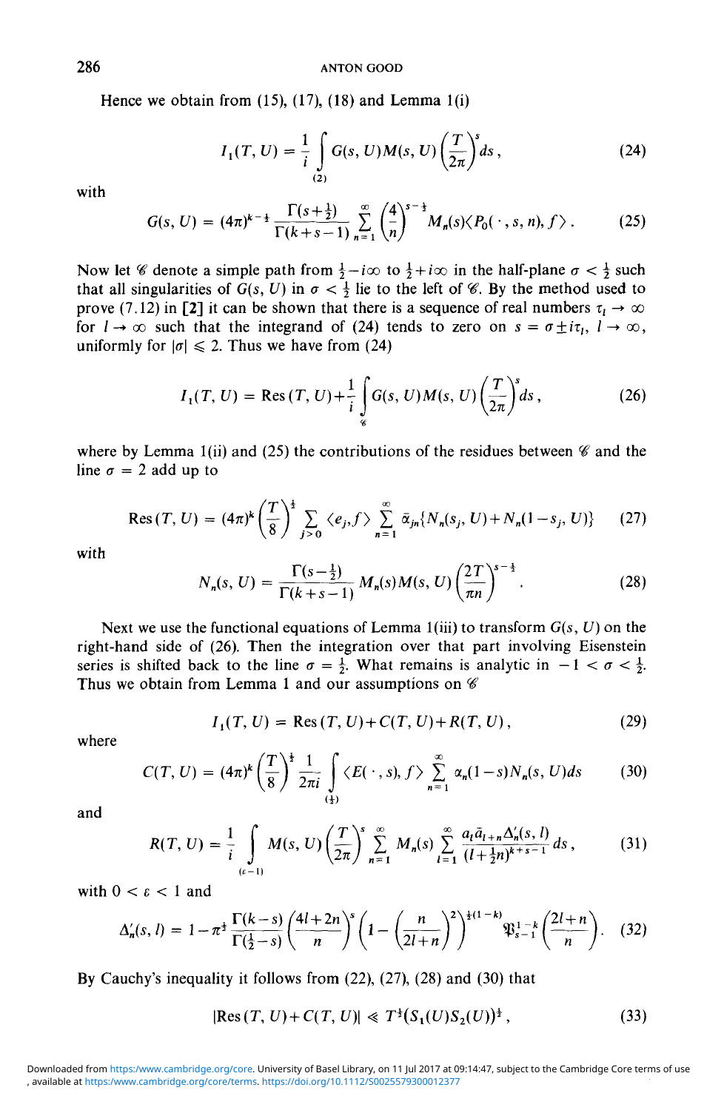Hence we obtain from  $(15)$ ,  $(17)$ ,  $(18)$  and Lemma  $1(i)$ 

$$
I_1(T, U) = \frac{1}{i} \int_{(2)} G(s, U) M(s, U) \left(\frac{T}{2\pi}\right)^s ds,
$$
 (24)

with

$$
G(s, U) = (4\pi)^{k-\frac{1}{2}} \frac{\Gamma(s+\frac{1}{2})}{\Gamma(k+s-1)} \sum_{n=1}^{\infty} \binom{4}{n}^{s-\frac{1}{2}} M_n(s) \langle P_0(\cdot, s, n), f \rangle.
$$
 (25)

Now let *%* denote a simple path from  $\frac{1}{2} - i\infty$  to  $\frac{1}{2} + i\infty$  in the half-plane  $\sigma < \frac{1}{2}$  such that all singularities of  $G(s, U)$  in  $\sigma < \frac{1}{2}$  lie to the left of *%*. By the method used to prove (7.12) in [2] it can be shown that there is a sequence of real numbers  $\tau_l \to \infty$ for  $l \to \infty$  such that the integrand of (24) tends to zero on  $s = \sigma \pm i\tau_l$ ,  $l \to \infty$ , uniformly for  $|\sigma| \le 2$ . Thus we have from (24)

$$
I_1(T, U) = \text{Res}(T, U) + \frac{1}{i} \int_{\mathcal{C}} G(s, U) M(s, U) \left(\frac{T}{2\pi}\right)^s ds,
$$
 (26)

where by Lemma 1(ii) and (25) the contributions of the residues between  $\mathscr C$  and the line  $\sigma = 2$  add up to

$$
\text{Res}(T, U) = (4\pi)^k \left(\frac{T}{8}\right)^{\frac{1}{2}} \sum_{j>0} \langle e_j, f \rangle \sum_{n=1}^{\infty} \bar{\alpha}_{jn} \{N_n(s_j, U) + N_n(1 - s_j, U)\} \tag{27}
$$

with

$$
N_n(s, U) = \frac{\Gamma(s - \frac{1}{2})}{\Gamma(k + s - 1)} M_n(s) M(s, U) \left(\frac{2T}{\pi n}\right)^{s - \frac{1}{2}}.
$$
 (28)

Next we use the functional equations of Lemma  $1(iii)$  to transform  $G(s, U)$  on the right-hand side of (26). Then the integration over that part involving Eisenstein series is shifted back to the line  $\sigma = \frac{1}{2}$ . What remains is analytic in  $-1 < \sigma < \frac{1}{2}$ . Thus we obtain from Lemma 1 and our assumptions on *<€*

$$
I_1(T, U) = \text{Res}(T, U) + C(T, U) + R(T, U), \qquad (29)
$$

where

$$
C(T, U) = (4\pi)^k \left(\frac{T}{8}\right)^{\frac{1}{2}} \frac{1}{2\pi i} \int_{\left(\frac{1}{2}\right)} \langle E(\cdot, s), f \rangle \sum_{n=1}^{\infty} \alpha_n (1-s) N_n(s, U) ds \qquad (30)
$$

and

$$
R(T, U) = \frac{1}{i} \int_{(c-1)} M(s, U) \left(\frac{T}{2\pi}\right)^s \sum_{n=1}^{\infty} M_n(s) \sum_{l=1}^{\infty} \frac{a_l \bar{a}_{l+n} \Delta_n'(s, l)}{(l + \frac{1}{2}n)^{k+s-1}} ds,
$$
(31)

with  $0 < \varepsilon < 1$  and

$$
\Delta_n'(s, l) = 1 - \pi^{\frac{1}{2}} \frac{\Gamma(k-s)}{\Gamma(\frac{1}{2}-s)} \left(\frac{4l+2n}{n}\right)^s \left(1 - \left(\frac{n}{2l+n}\right)^2\right)^{\frac{1}{2}(1-k)} \mathfrak{P}_{s-1}^{1-k} \left(\frac{2l+n}{n}\right). \tag{32}
$$

By Cauchy's inequality it follows from (22), (27), (28) and (30) that

$$
|Res(T, U) + C(T, U)| \ll T^{\frac{1}{2}}(S_1(U)S_2(U))^{\frac{1}{2}}, \tag{33}
$$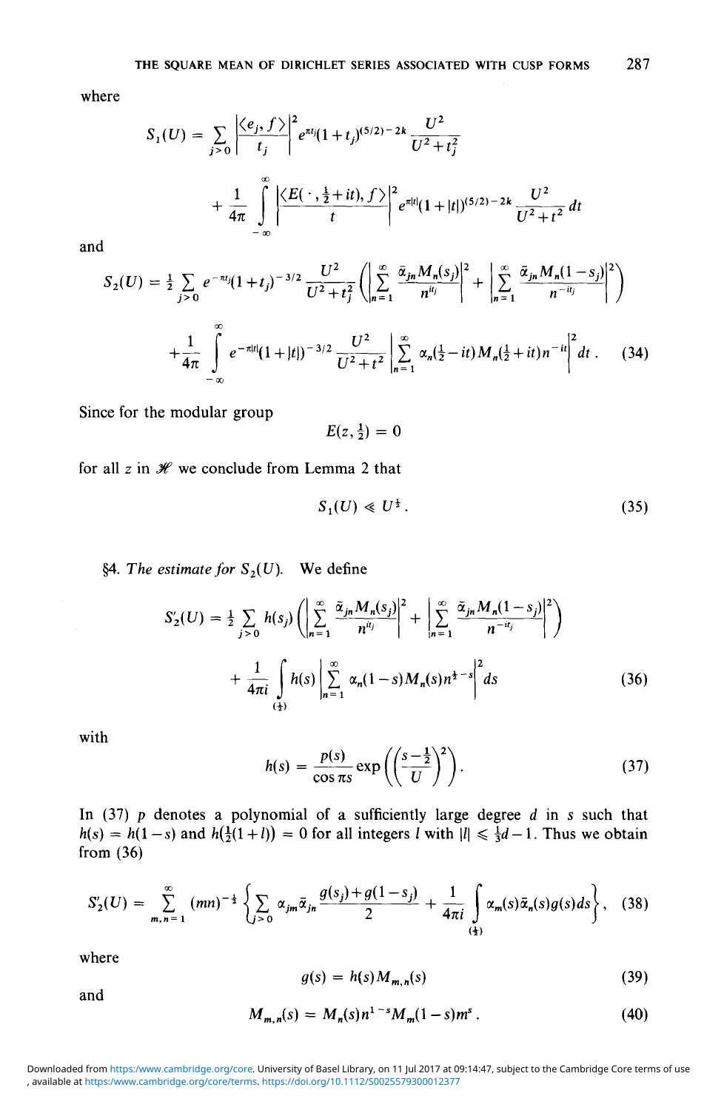where

$$
S_1(U) = \sum_{j>0} \left| \frac{\langle e_j, f \rangle}{t_j} \right|^2 e^{\pi t_j} (1+t_j)^{(5/2)-2k} \frac{U^2}{U^2+t_j^2} + \frac{1}{4\pi} \int_{-\infty}^{\infty} \left| \frac{\langle E(\cdot, \frac{1}{2}+it), f \rangle}{t} \right|^2 e^{\pi|t|} (1+|t|)^{(5/2)-2k} \frac{U^2}{U^2+t^2} dt
$$

and

$$
S_2(U) = \frac{1}{2} \sum_{j>0} e^{-\pi t_j} (1+t_j)^{-3/2} \frac{U^2}{U^2+t_j^2} \left( \left| \sum_{n=1}^{\infty} \frac{\bar{\alpha}_{jn} M_n(s_j)}{n^{it_j}} \right|^2 + \left| \sum_{n=1}^{\infty} \frac{\bar{\alpha}_{jn} M_n(1-s_j)}{n^{-it_j}} \right|^2 \right)
$$
  
+ 
$$
\frac{1}{4\pi} \int_{-\infty}^{\infty} e^{-\pi|t|} (1+|t|)^{-3/2} \frac{U^2}{U^2+t^2} \left| \sum_{n=1}^{\infty} \alpha_n (\frac{1}{2}-it) M_n(\frac{1}{2}+it) n^{-it} \right|^2 dt. \tag{34}
$$

Since for the modular group

$$
E(z,\tfrac{1}{2})=0
$$

for all  $z$  in  $\mathcal H$  we conclude from Lemma 2 that

$$
S_1(U) \ll U^{\frac{1}{2}}.
$$
\n
$$
(35)
$$

§4. The estimate for  $S_2(U)$ . We define

$$
S'_{2}(U) = \frac{1}{2} \sum_{j>0} h(s_{j}) \left( \left| \sum_{n=1}^{\infty} \frac{\tilde{\alpha}_{jn} M_{n}(s_{j})}{n^{u_{j}}} \right|^{2} + \left| \sum_{n=1}^{\infty} \frac{\tilde{\alpha}_{jn} M_{n}(1-s_{j})}{n^{-u_{j}}} \right|^{2} \right) + \frac{1}{4\pi i} \int_{(\frac{1}{2})} h(s) \left| \sum_{n=1}^{\infty} \alpha_{n}(1-s) M_{n}(s) n^{\frac{1}{2}-s} \right|^{2} ds
$$
 (36)

with

$$
h(s) = \frac{p(s)}{\cos \pi s} \exp\left(\left(\frac{s-\frac{1}{2}}{U}\right)^2\right).
$$
 (37)

In (37)  $p$  denotes a polynomial of a sufficiently large degree  $d$  in  $s$  such that  $h(s) = h(1-s)$  and  $h(\frac{1}{2}(1+l)) = 0$  for all integers *l* with  $|l| \leq \frac{1}{3}d-1$ . Thus we obtain from (36)

$$
S'_{2}(U) = \sum_{m,n=1}^{\infty} (mn)^{-\frac{1}{2}} \left\{ \sum_{j>0} \alpha_{jm} \bar{\alpha}_{jn} \frac{g(s_j) + g(1-s_j)}{2} + \frac{1}{4\pi i} \int_{\frac{1}{4}}^{\infty} \alpha_m(s) \bar{\alpha}_n(s) g(s) ds \right\},
$$
 (38)

where

$$
g(s) = h(s)M_{m,n}(s) \tag{39}
$$

and

$$
M_{m,n}(s) = M_n(s)n^{1-s}M_m(1-s)m^s.
$$
 (40)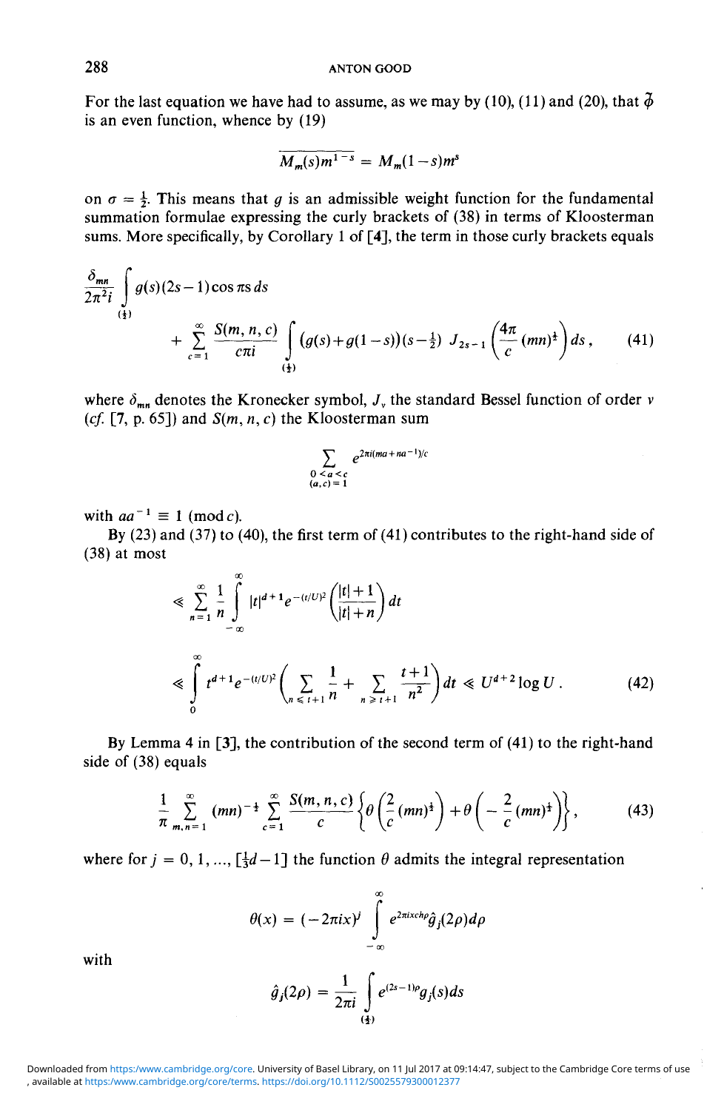For the last equation we have had to assume, as we may by (10), (11) and (20), that  $\phi$ is an even function, whence by (19)

$$
\overline{M_m(s)m^{1-s}} = M_m(1-s)m^s
$$

on  $\sigma = \frac{1}{2}$ . This means that *g* is an admissible weight function for the fundamental summation formulae expressing the curly brackets of (38) in terms of Kloosterman sums. More specifically, by Corollary 1 of [4], the term in those curly brackets equals

$$
\frac{\delta_{mn}}{2\pi^2 i} \int_{\frac{1}{2}}^{\infty} g(s)(2s-1)\cos \pi s \, ds + \sum_{c=1}^{\infty} \frac{S(m,n,c)}{c\pi i} \int_{\frac{1}{2}}^{\infty} (g(s) + g(1-s))(s-\frac{1}{2}) J_{2s-1}\left(\frac{4\pi}{c}(mn)^{\frac{1}{2}}\right) ds , \qquad (41)
$$

where  $\delta_{mn}$  denotes the Kronecker symbol,  $J_{\nu}$  the standard Bessel function of order  $\nu$ *(cf.* [7, p. 65]) and *S(m,* n, *c)* the Kloosterman sum

$$
\sum_{\substack{0 \le a \le c \\ (a,c)=1}} e^{2\pi i (ma + na^{-1})/c}
$$

with  $aa^{-1} \equiv 1 \pmod{c}$ .

By (23) and (37) to (40), the first term of (41) contributes to the right-hand side of (38) at most

$$
\leq \sum_{n=1}^{\infty} \frac{1}{n} \int_{-\infty}^{\infty} |t|^{d+1} e^{-(t/U)^2} \left( \frac{|t|+1}{|t|+n} \right) dt
$$
  

$$
\leq \int_{0}^{\infty} t^{d+1} e^{-(t/U)^2} \left( \sum_{n \leq t+1} \frac{1}{n} + \sum_{n \geq t+1} \frac{t+1}{n^2} \right) dt \leq U^{d+2} \log U.
$$
 (42)

By Lemma 4 in [3], the contribution of the second term of (41) to the right-hand side of (38) equals

$$
\frac{1}{\pi}\sum_{m,n=1}^{\infty} (mn)^{-\frac{1}{2}}\sum_{c=1}^{\infty}\frac{S(m,n,c)}{c}\left\{\theta\left(\frac{2}{c}(mn)^{\frac{1}{2}}\right)+\theta\left(-\frac{2}{c}(mn)^{\frac{1}{2}}\right)\right\},\qquad(43)
$$

where for  $j = 0, 1, ..., [\frac{1}{3}d - 1]$  the function  $\theta$  admits the integral representation

$$
\theta(x) = (-2\pi ix)^j \int_{-\infty}^{\infty} e^{2\pi ixch\rho} \hat{g}_j(2\rho) d\rho
$$

with

$$
\hat{g}_j(2\rho) = \frac{1}{2\pi i} \int_{\frac{1}{2}}^{\infty} e^{(2s-1)\rho} g_j(s) ds
$$

, available at <https:/www.cambridge.org/core/terms>.<https://doi.org/10.1112/S0025579300012377> Downloaded from <https:/www.cambridge.org/core>. University of Basel Library, on 11 Jul 2017 at 09:14:47, subject to the Cambridge Core terms of use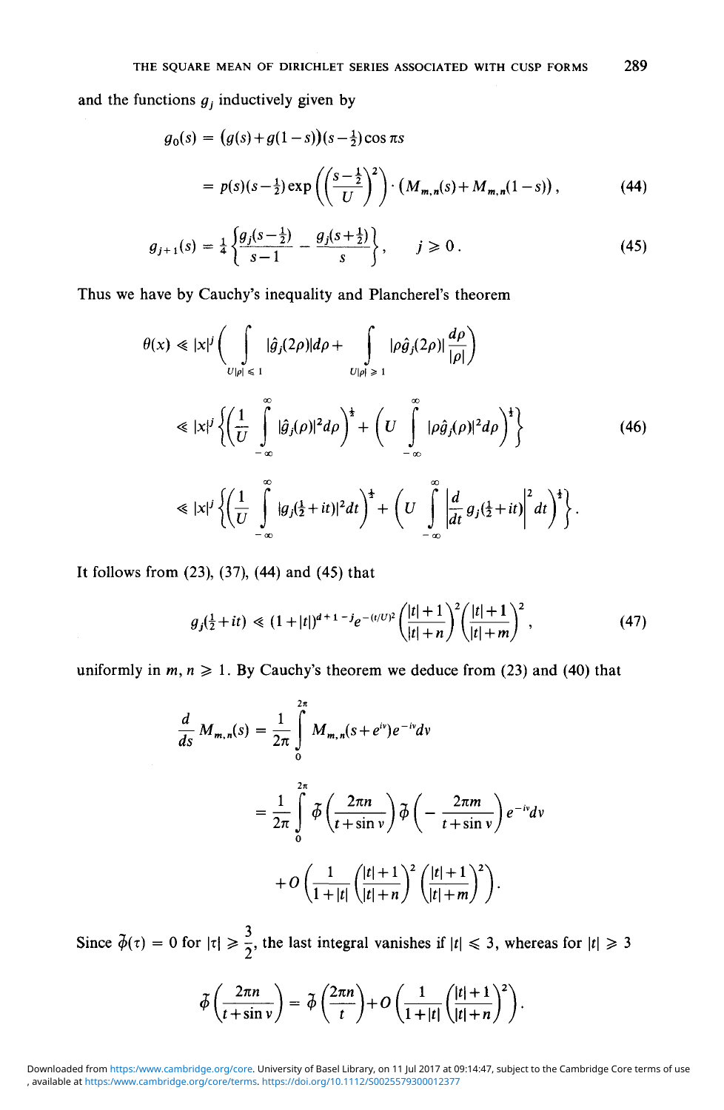and the functions  $g_j$  inductively given by

$$
g_0(s) = (g(s) + g(1-s))(s - \frac{1}{2})\cos \pi s
$$
  
=  $p(s)(s - \frac{1}{2})\exp\left(\left(\frac{s - \frac{1}{2}}{U}\right)^2\right) \cdot (M_{m,n}(s) + M_{m,n}(1-s)),$  (44)

$$
g_{j+1}(s) = \frac{1}{4} \left\{ \frac{g_j(s-\frac{1}{2})}{s-1} - \frac{g_j(s+\frac{1}{2})}{s} \right\}, \qquad j \geq 0. \tag{45}
$$

Thus we have by Cauchy's inequality and Plancherel's theorem

$$
\theta(x) \ll |x|^j \left( \int_{U|\rho| \leq 1} |\hat{g}_j(2\rho)| d\rho + \int_{U|\rho| \geq 1} |\rho \hat{g}_j(2\rho)| \frac{d\rho}{|\rho|} \right)
$$
  
\n
$$
\ll |x|^j \left\{ \left( \frac{1}{U} \int_{-\infty}^{\infty} |\hat{g}_j(\rho)|^2 d\rho \right)^{\frac{1}{2}} + \left( U \int_{-\infty}^{\infty} |\rho \hat{g}_j(\rho)|^2 d\rho \right)^{\frac{1}{2}} \right\}
$$
(46)  
\n
$$
\ll |x|^j \left\{ \left( \frac{1}{U} \int_{-\infty}^{\infty} |g_j(\frac{1}{2} + it)|^2 dt \right)^{\frac{1}{2}} + \left( U \int_{-\infty}^{\infty} \left| \frac{d}{dt} g_j(\frac{1}{2} + it) \right|^2 dt \right)^{\frac{1}{2}} \right\}.
$$

It follows from (23), (37), (44) and (45) that

$$
g_j(\frac{1}{2}+it) \ll (1+|t|)^{d+1-j} e^{-(t/U)^2} \left(\frac{|t|+1}{|t|+n}\right)^2 \left(\frac{|t|+1}{|t|+m}\right)^2, \tag{47}
$$

uniformly in  $m, n \ge 1$ . By Cauchy's theorem we deduce from (23) and (40) that

$$
\frac{d}{ds} M_{m,n}(s) = \frac{1}{2\pi} \int_0^{2\pi} M_{m,n}(s+e^{iv})e^{-iv}dv
$$

$$
= \frac{1}{2\pi} \int_0^{2\pi} \tilde{\phi}\left(\frac{2\pi n}{t+\sin v}\right) \tilde{\phi}\left(-\frac{2\pi m}{t+\sin v}\right) e^{-iv}dv
$$

$$
+ O\left(\frac{1}{1+|t|}\left(\frac{|t|+1}{|t|+n}\right)^2 \left(\frac{|t|+1}{|t|+m}\right)^2\right).
$$

Since  $\tilde{\phi}(\tau) = 0$  for  $|\tau| \ge \frac{3}{2}$ , the last integral vanishes if  $|t| \le 3$ , whereas for  $|t| \ge 3$ 

$$
\tilde{\phi}\left(\frac{2\pi n}{t+\sin v}\right) = \tilde{\phi}\left(\frac{2\pi n}{t}\right) + O\left(\frac{1}{1+|t|}\left(\frac{|t|+1}{|t|+n}\right)^2\right).
$$

, available at <https:/www.cambridge.org/core/terms>.<https://doi.org/10.1112/S0025579300012377> Downloaded from <https:/www.cambridge.org/core>. University of Basel Library, on 11 Jul 2017 at 09:14:47, subject to the Cambridge Core terms of use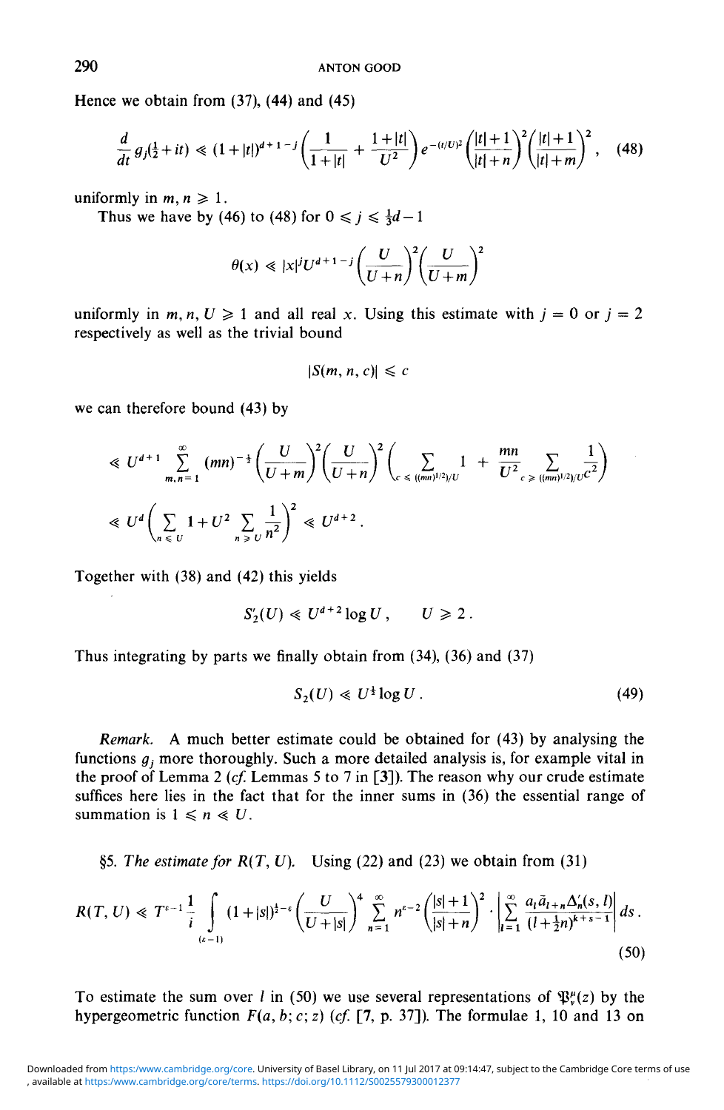Hence we obtain from (37), (44) and (45)

$$
\frac{d}{dt} g_j(\frac{1}{2} + it) \ll (1 + |t|)^{d+1-j} \left( \frac{1}{1 + |t|} + \frac{1 + |t|}{U^2} \right) e^{-(t/U)^2} \left( \frac{|t| + 1}{|t| + n} \right)^2 \left( \frac{|t| + 1}{|t| + m} \right)^2, \quad (48)
$$

uniformly in  $m, n \geq 1$ .

Thus we have by (46) to (48) for  $0 \le i \le \frac{1}{3}d-1$ 

$$
\theta(x) \ll |x|^j U^{d+1-j} \left(\frac{U}{U+n}\right)^2 \left(\frac{U}{U+m}\right)^2
$$

uniformly in  $m, n, U \geq 1$  and all real x. Using this estimate with  $j = 0$  or  $j = 2$ respectively as well as the trivial bound

$$
|S(m, n, c)| \leq c
$$

we can therefore bound (43) by

$$
\leq U^{d+1} \sum_{m,n=1}^{\infty} (mn)^{-\frac{1}{2}} \left( \frac{U}{U+m} \right)^2 \left( \frac{U}{U+n} \right)^2 \left( \sum_{c \leq \frac{((mn)^{1/2})}{U}} 1 + \frac{mn}{U^2} \sum_{c \geq \frac{((mn)^{1/2})}{U}} \frac{1}{c^2} \right)
$$
  

$$
\leq U^d \left( \sum_{n \leq U} 1 + U^2 \sum_{n \geq U} \frac{1}{n^2} \right)^2 \leq U^{d+2}.
$$

Together with (38) and (42) this yields

$$
S_2'(U) \ll U^{d+2} \log U, \qquad U \geq 2.
$$

Thus integrating by parts we finally obtain from (34), (36) and (37)

$$
S_2(U) \ll U^{\frac{1}{2}} \log U \,. \tag{49}
$$

*Remark.* A much better estimate could be obtained for (43) by analysing the functions  $q_i$ , more thoroughly. Such a more detailed analysis is, for example vital in the proof of Lemma 2 *(cf.* Lemmas 5 to 7 in [3]). The reason why our crude estimate suffices here lies in the fact that for the inner sums in (36) the essential range of summation is  $1 \leq n \leq U$ .

§5. The estimate for  $R(T, U)$ . Using (22) and (23) we obtain from (31)

$$
R(T, U) \ll T^{\epsilon - 1} \frac{1}{i} \int_{(\epsilon - 1)} (1 + |s|)^{\frac{1}{2} - \epsilon} \left( \frac{U}{U + |s|} \right)^4 \sum_{n = 1}^{\infty} n^{\epsilon - 2} \left( \frac{|s| + 1}{|s| + n} \right)^2 \cdot \left| \sum_{l = 1}^{\infty} \frac{a_l \bar{a}_{l+n} \Delta_n'(s, l)}{(l + \frac{1}{2} n)^{\frac{1}{k} + s - 1}} \right| ds \,.
$$
\n
$$
(50)
$$

To estimate the sum over l in (50) we use several representations of  $\mathfrak{P}_{n}^{\mu}(z)$  by the hypergeometric function  $F(a, b; c; z)$  (cf. [7, p. 37]). The formulae 1, 10 and 13 on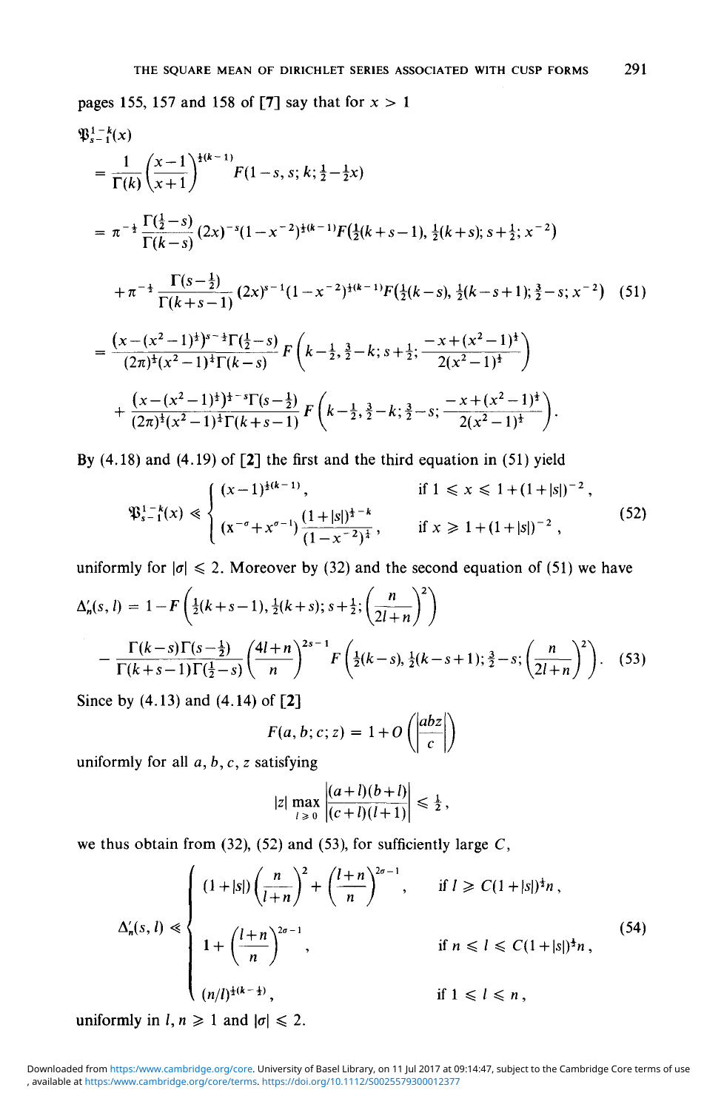pages 155, 157 and 158 of [7] say that for  $x > 1$ 

$$
\mathfrak{P}_{s-1}^{1-k}(x) = \frac{1}{\Gamma(k)} \left(\frac{x-1}{x+1}\right)^{\frac{1}{2}(k-1)} F(1-s, s; k; \frac{1}{2}-\frac{1}{2}x)
$$
\n
$$
= \pi^{-\frac{1}{2}} \frac{\Gamma(\frac{1}{2}-s)}{\Gamma(k-s)} (2x)^{-s} (1-x^{-2})^{\frac{1}{2}(k-1)} F(\frac{1}{2}(k+s-1), \frac{1}{2}(k+s); s+\frac{1}{2}; x^{-2})
$$
\n
$$
+ \pi^{-\frac{1}{2}} \frac{\Gamma(s-\frac{1}{2})}{\Gamma(k+s-1)} (2x)^{s-1} (1-x^{-2})^{\frac{1}{2}(k-1)} F(\frac{1}{2}(k-s), \frac{1}{2}(k-s+1); \frac{3}{2}-s; x^{-2}) \quad (51)
$$
\n
$$
= \frac{(x-(x^2-1)^{\frac{1}{2}})^{s-\frac{1}{2}} \Gamma(\frac{1}{2}-s)}{(2\pi)^{\frac{1}{2}} (x^2-1)^{\frac{1}{2}} \Gamma(k-s)} F\left(k-\frac{1}{2}, \frac{3}{2}-k; s+\frac{1}{2}; \frac{-x+(x^2-1)^{\frac{1}{2}}}{2(x^2-1)^{\frac{1}{2}}} \right)
$$
\n
$$
+ \frac{(x-(x^2-1)^{\frac{1}{2}})^{\frac{1}{2}-s} \Gamma(s-\frac{1}{2})}{(2\pi)^{\frac{1}{2}} (x^2-1)^{\frac{1}{2}} \Gamma(k+s-1)} F\left(k-\frac{1}{2}, \frac{3}{2}-k; \frac{3}{2}-s; \frac{-x+(x^2-1)^{\frac{1}{2}}}{2(x^2-1)^{\frac{1}{2}}} \right).
$$

By  $(4.18)$  and  $(4.19)$  of  $\lceil 2 \rceil$  the first and the third equation in  $(51)$  yield

$$
\mathfrak{P}_{s-1}^{1-k}(x) \ll \begin{cases} (x-1)^{\frac{1}{2}(k-1)}, & \text{if } 1 \leq x \leq 1+(1+|s|)^{-2}, \\ (x^{-\sigma}+x^{\sigma-1})\frac{(1+|s|)^{\frac{1}{2}-k}}{(1-x^{-2})^{\frac{1}{2}}}, & \text{if } x \geq 1+(1+|s|)^{-2}, \end{cases} \tag{52}
$$

uniformly for  $|\sigma| \le 2$ . Moreover by (32) and the second equation of (51) we have  $\Delta'_n(s, l) = 1 - F\left(\frac{1}{2}(k+s-1), \frac{1}{2}(k+s); s+\frac{1}{2}; \left(\frac{n}{2l+n}\right)^2\right)$  $-\frac{\Gamma(k-s)\Gamma(s-\frac{1}{2})}{\Gamma(k+s-1)\Gamma(\frac{1}{2}-s)}\left(\frac{4l+n}{n}\right)^{2s-1}F\left(\frac{1}{2}(k-s),\frac{1}{2}(k-s+1);\frac{3}{2}-s;\left(\frac{n}{2l+n}\right)^2\right).$  (53)

Since by (4.13) and (4.14) of [2]

$$
F(a, b; c; z) = 1 + O\left(\left|\frac{abz}{c}\right|\right)
$$

 $\mathbf{r}$ 

uniformly for all *a,b,c, z* satisfying

$$
|z| \max_{l \geq 0} \frac{|(a+l)(b+l)|}{|(c+l)(l+1)|} \leq \frac{1}{2},
$$

we thus obtain from (32), (52) and (53), for sufficiently large  $C$ ,

$$
\Delta'_n(s,l) \ll \begin{cases}\n(1+|s|)\left(\frac{n}{l+n}\right)^2 + \left(\frac{l+n}{n}\right)^{2\sigma-1}, & \text{if } l \ge C(1+|s|)^{\frac{1}{2}}n, \\
1+ \left(\frac{l+n}{n}\right)^{2\sigma-1}, & \text{if } n \le l \le C(1+|s|)^{\frac{1}{2}}n, \\
(n/l)^{\frac{1}{2}(k-\frac{1}{2})}, & \text{if } 1 \le l \le n,\n\end{cases}
$$
\n(54)

uniformly in  $l, n \geq 1$  and  $|\sigma| \leq 2$ .

<sup>,</sup> available at <https:/www.cambridge.org/core/terms>.<https://doi.org/10.1112/S0025579300012377> Downloaded from <https:/www.cambridge.org/core>. University of Basel Library, on 11 Jul 2017 at 09:14:47, subject to the Cambridge Core terms of use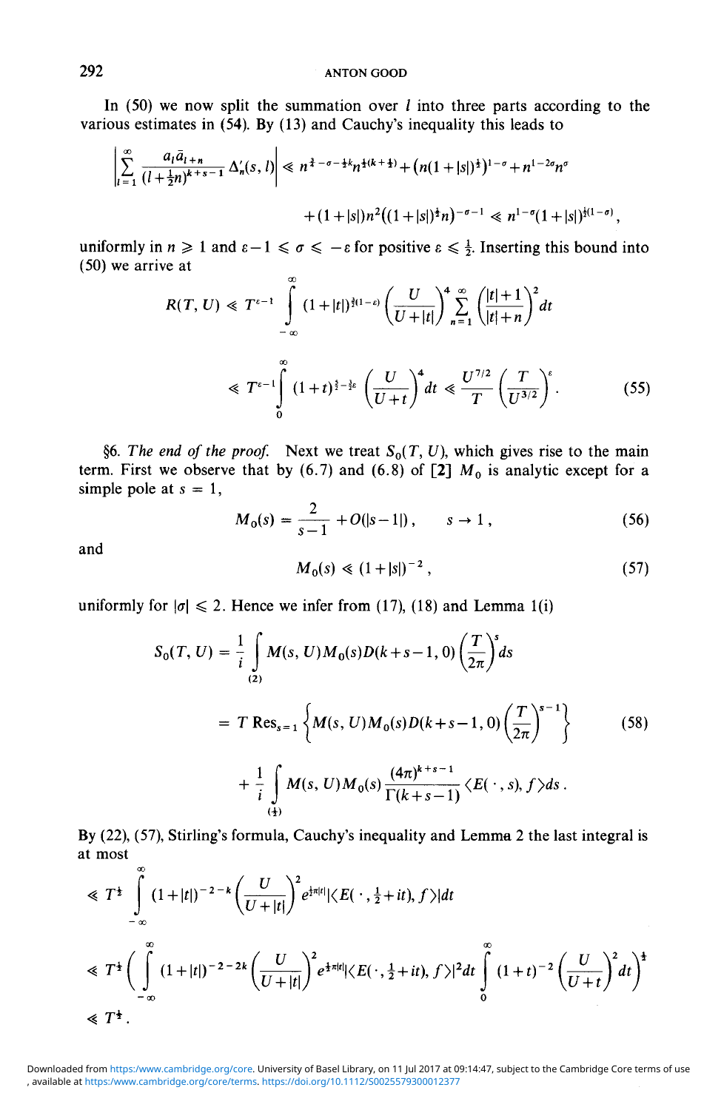In  $(50)$  we now split the summation over l into three parts according to the various estimates in (54). By (13) and Cauchy's inequality this leads to

$$
\left|\sum_{l=1}^{\infty} \frac{a_l \bar{a}_{l+n}}{(l+\frac{1}{2}n)^{k+s-1}} \Delta'_n(s,l)\right| \ll n^{\frac{3}{4}-\sigma-\frac{1}{2}k} n^{\frac{1}{2}(k+\frac{1}{2})} + (n(1+|s|)^{\frac{1}{2}})^{1-\sigma} + n^{1-2\sigma} n^{\sigma}
$$

$$
+ (1+|s|) n^2 ((1+|s|)^{\frac{1}{2}} n)^{-\sigma-1} \ll n^{1-\sigma} (1+|s|)^{\frac{1}{2}(1-\sigma)}
$$

uniformly in  $n \geq 1$  and  $\varepsilon - 1 \leq \sigma \leq -\varepsilon$  for positive  $\varepsilon \leq \frac{1}{2}$ . Inserting this bound into (50) we arrive at

$$
R(T, U) \ll T^{\epsilon - 1} \int_{-\infty}^{\infty} (1 + |t|)^{\frac{3}{2}(1 - \epsilon)} \left(\frac{U}{U + |t|}\right)^{4} \sum_{n = 1}^{\infty} \left(\frac{|t| + 1}{|t| + n}\right)^{2} dt
$$
  

$$
\ll T^{\epsilon - 1} \int_{0}^{\infty} (1 + t)^{\frac{5}{2} - \frac{3}{2}\epsilon} \left(\frac{U}{U + t}\right)^{4} dt \ll \frac{U^{7/2}}{T} \left(\frac{T}{U^{3/2}}\right)^{\epsilon}.
$$
 (55)

§6. The end of the proof. Next we treat  $S_0(T, U)$ , which gives rise to the main term. First we observe that by  $(6.7)$  and  $(6.8)$  of [2]  $M_0$  is analytic except for a simple pole at  $s = 1$ ,

$$
M_0(s) = \frac{2}{s-1} + O(|s-1|), \qquad s \to 1,
$$
\n(56)

and

$$
M_0(s) \ll (1+|s|)^{-2}, \tag{57}
$$

 $\overline{\phantom{a}}$ 

uniformly for  $|\sigma| \le 2$ . Hence we infer from (17), (18) and Lemma 1(i)

$$
S_0(T, U) = \frac{1}{i} \int_{(2)} M(s, U) M_0(s) D(k+s-1, 0) \left(\frac{T}{2\pi}\right)^s ds
$$
  
=  $T \text{ Res}_{s=1} \left\{ M(s, U) M_0(s) D(k+s-1, 0) \left(\frac{T}{2\pi}\right)^{s-1} \right\}$  (58)  
+  $\frac{1}{i} \int_{(4)} M(s, U) M_0(s) \frac{(4\pi)^{k+s-1}}{\Gamma(k+s-1)} \langle E(\cdot, s), f \rangle ds.$ 

By (22), (57), Stirling's formula, Cauchy's inequality and Lemma 2 the last integral is at most

$$
\leq T^{\frac{1}{2}} \int_{-\infty}^{\infty} (1+|t|)^{-2-k} \left(\frac{U}{U+|t|}\right)^2 e^{\frac{1}{2}\pi|t|} |\langle E(\cdot, \frac{1}{2}+it), f \rangle| dt
$$
  
\n
$$
\leq T^{\frac{1}{2}} \left(\int_{-\infty}^{\infty} (1+|t|)^{-2-2k} \left(\frac{U}{U+|t|}\right)^2 e^{\frac{1}{2}\pi|t|} |\langle E(\cdot, \frac{1}{2}+it), f \rangle|^2 dt \int_{0}^{\infty} (1+t)^{-2} \left(\frac{U}{U+t}\right)^2 dt\right)^{\frac{1}{2}}
$$
  
\n
$$
\leq T^{\frac{1}{2}}.
$$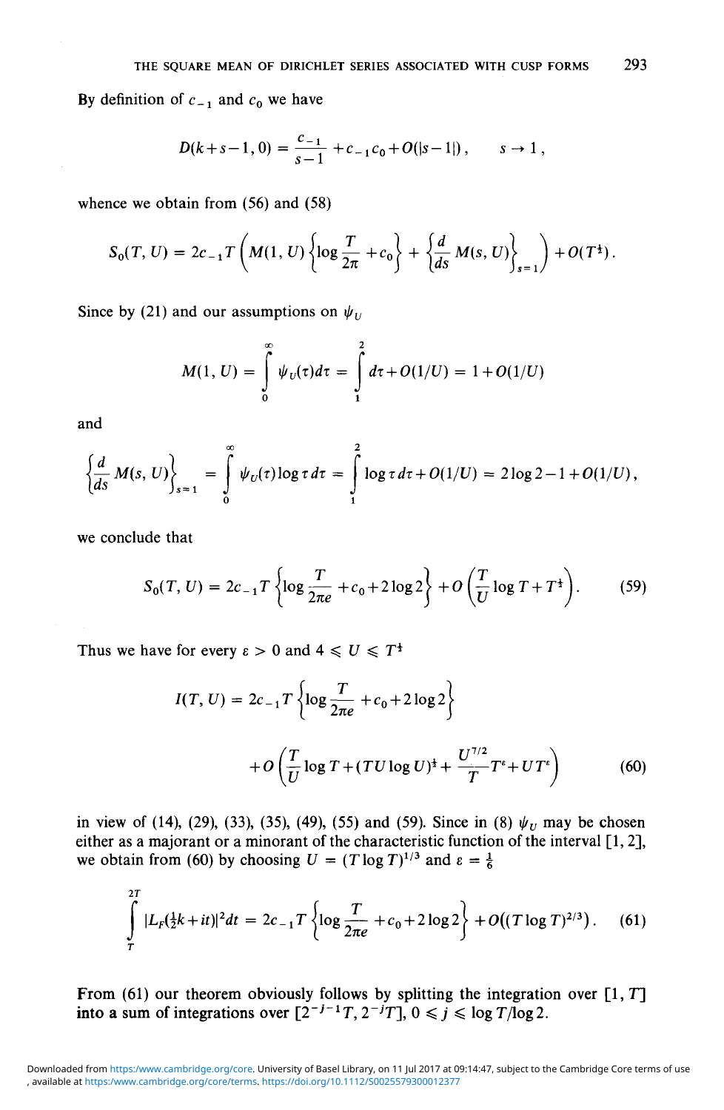By definition of  $c_{-1}$  and  $c_0$  we have

$$
D(k+s-1, 0) = \frac{c_{-1}}{s-1} + c_{-1}c_0 + O(|s-1|), \qquad s \to 1
$$

whence we obtain from (56) and (58)

$$
S_0(T, U) = 2c_{-1}T\left(M(1, U)\left\{\log \frac{T}{2\pi} + c_0\right\} + \left\{\frac{d}{ds} M(s, U)\right\}_{s=1}\right) + O(T^{\frac{1}{2}}).
$$

Since by (21) and our assumptions on  $\psi$ <sub>*v*</sub>

$$
M(1, U) = \int_{0}^{\infty} \psi_{U}(\tau) d\tau = \int_{1}^{2} d\tau + O(1/U) = 1 + O(1/U)
$$

and

$$
\left\{\frac{d}{ds} M(s, U)\right\}_{s=1} = \int_{0}^{\infty} \psi_{U}(\tau) \log \tau d\tau = \int_{1}^{2} \log \tau d\tau + O(1/U) = 2 \log 2 - 1 + O(1/U),
$$

we conclude that

$$
S_0(T, U) = 2c_{-1}T \left\{ \log \frac{T}{2\pi e} + c_0 + 2\log 2 \right\} + O\left(\frac{T}{U}\log T + T^{\frac{1}{2}}\right). \tag{59}
$$

Thus we have for every  $\varepsilon > 0$  and  $4 \le U \le T^{\frac{1}{2}}$ 

$$
I(T, U) = 2c_{-1}T \left\{ \log \frac{T}{2\pi e} + c_0 + 2\log 2 \right\}
$$
  
+ 
$$
O\left(\frac{T}{U}\log T + (TU\log U)^{\frac{1}{2}} + \frac{U^{7/2}}{T}T^{\epsilon} + UT^{\epsilon} \right)
$$
 (60)

in view of (14), (29), (33), (35), (49), (55) and (59). Since in (8)  $\psi_U$  may be chosen either as a majorant or a minorant of the characteristic function of the interval [1, 2], we obtain from (60) by choosing  $U = (T \log T)^{1/3}$  and  $\varepsilon = \frac{1}{6}$ 

$$
\int_{T}^{2T} |L_{F}(\frac{1}{2}k+it)|^{2} dt = 2c_{-1}T \left\{ \log \frac{T}{2\pi e} + c_{0} + 2 \log 2 \right\} + O((T \log T)^{2/3}). \quad (61)
$$

From (61) our theorem obviously follows by splitting the integration over  $[1, T]$ into a sum of integrations over  $[2^{-j-1}T, 2^{-j}T]$ ,  $0 \le j \le \log T/\log 2$ .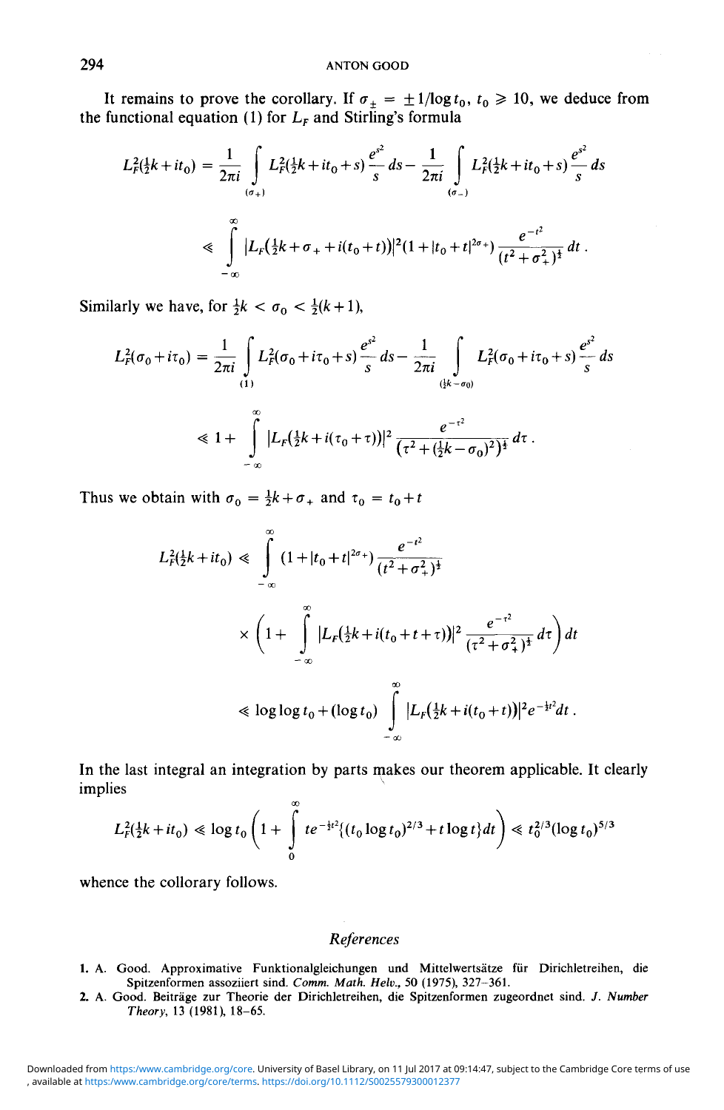It remains to prove the corollary. If  $\sigma_{\pm} = \pm 1/\log t_0$ ,  $t_0 \ge 10$ , we deduce from the functional equation (1) for  $L_F$  and Stirling's formula

$$
L_F^2(\frac{1}{2}k + it_0) = \frac{1}{2\pi i} \int_{(a_+)} L_F^2(\frac{1}{2}k + it_0 + s) \frac{e^{s^2}}{s} ds - \frac{1}{2\pi i} \int_{(a_-)} L_F^2(\frac{1}{2}k + it_0 + s) \frac{e^{s^2}}{s} ds
$$
  
\$\leq \int\_{-\infty}^{\infty} |L\_F(\frac{1}{2}k + \sigma\_+ + i(t\_0 + t))|^2 (1 + |t\_0 + t|^{2\sigma\_+}) \frac{e^{-t^2}}{(t^2 + \sigma\_+^2)^{\frac{1}{2}}} dt.

Similarly we have, for  $\frac{1}{2}k < \sigma_0 < \frac{1}{2}(k+1)$ ,

$$
L_F^2(\sigma_0 + i\tau_0) = \frac{1}{2\pi i} \int_{(1)} L_F^2(\sigma_0 + i\tau_0 + s) \frac{e^{s^2}}{s} ds - \frac{1}{2\pi i} \int_{(\frac{1}{2}k - \sigma_0)} L_F^2(\sigma_0 + i\tau_0 + s) \frac{e^{s^2}}{s} ds
$$
  
\$\leq 1 + \int\_{-\infty}^{\infty} |L\_F(\frac{1}{2}k + i(\tau\_0 + \tau))|^2 \frac{e^{-\tau^2}}{(\tau^2 + (\frac{1}{2}k - \sigma\_0)^2)^{\frac{1}{2}}} d\tau.\$

Thus we obtain with  $\sigma_0 = \frac{1}{2}k + \sigma_+$  and  $\tau_0 = t_0 + t$ 

$$
L_F^2(\frac{1}{2}k + it_0) \ll \int_{-\infty}^{\infty} (1 + |t_0 + t|^{2\sigma_+}) \frac{e^{-t^2}}{(t^2 + \sigma_+^2)^{\frac{1}{2}}} \times \left(1 + \int_{-\infty}^{\infty} |L_F(\frac{1}{2}k + i(t_0 + t + \tau))|^2 \frac{e^{-\tau^2}}{(\tau^2 + \sigma_+^2)^{\frac{1}{2}}} d\tau\right) dt
$$
  

$$
\ll \log \log t_0 + (\log t_0) \int_{-\infty}^{\infty} |L_F(\frac{1}{2}k + i(t_0 + t))|^2 e^{-\frac{1}{2}t^2} dt.
$$

In the last integral an integration by parts makes our theorem applicable. It clearly implies

$$
L_f^2(\frac{1}{2}k+it_0) \ll \log t_0 \left(1+\int\limits_0^\infty t e^{-\frac{1}{2}t^2} \{(t_0 \log t_0)^{2/3} + t \log t\} dt\right) \ll t_0^{2/3} (\log t_0)^{5/3}
$$

whence the collorary follows.

## *References*

- 1. A. Good. Approximative Funktionalgleichungen und Mittelwertsatze fiir Dirichletreihen, die Spitzenformen assoziiert sind. Comm. Math. Helv., 50 (1975), 327-361.
- 2. A. Good. Beitrage zur Theorie der Dirichletreihen, die Spitzenformen zugeordnet sind. *J. Number Theory,* 13 (1981), 18-65.